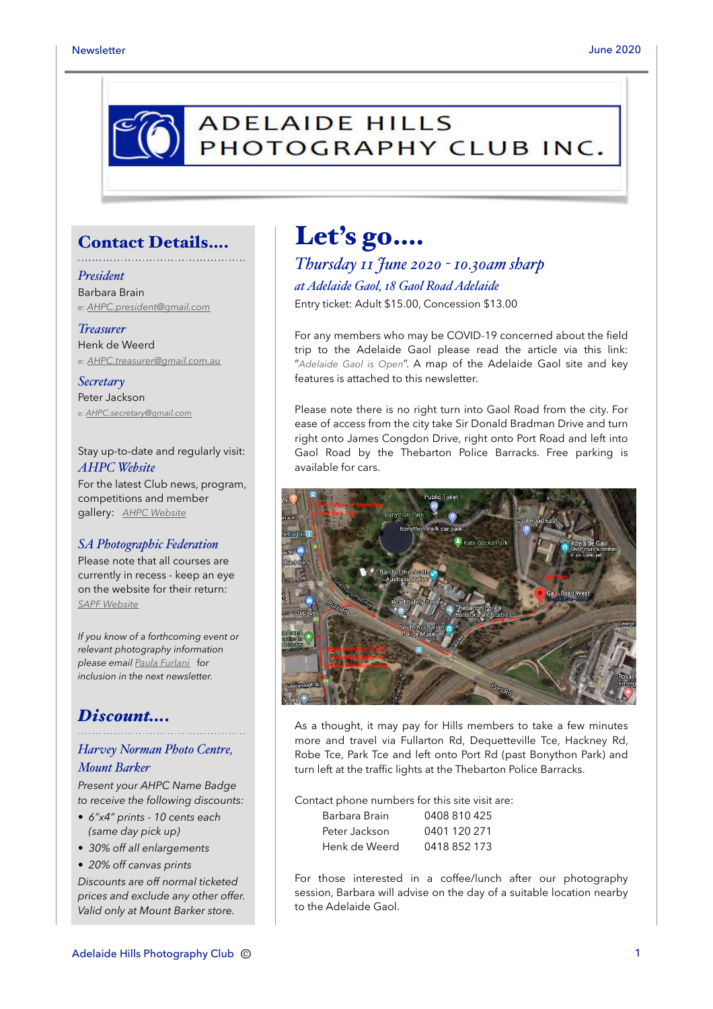

### Contact Details….

*President* Barbara Brain *e: [AHPC.president@gmail.com](mailto:AHPC.president@gmail.com)*

*Treasurer* Henk de Weerd *e: [AHPC.treasurer@gmail.com.au](mailto:AHPC.treasurer@gmail.com.au)*

*Secretary* Peter Jackson *e: [AHPC.secretary@gmail.com](mailto:AHPC.secretary@gmail.com)*

Stay up-to-date and regularly visit: *AHPC Website* For the latest Club news, program, competitions and member gallery: *[AHPC Website](http://www.adelaidehillsphotographyclub.com.au)*

#### *SA Photographic Federation*

Please note that all courses are currently in recess - keep an eye on the website for their return: *[SAPF Website](https://www.sapf.org.au)*

*If you know of a forthcoming event or relevant photography information please email [Paula Furlani](mailto:paulaphotoclick@gmail.com)* f*or inclusion in the next newsletter.* 

### *Discount….*

#### *Harvey Norman Photo Centre, Mount Barker*

*Present your AHPC Name Badge to receive the following discounts:* 

- *6"x4" prints 10 cents each (same day pick up)*
- *30% off all enlargements*
- *20% off canvas prints*

*Discounts are off normal ticketed prices and exclude any other offer. Valid only at Mount Barker store.*

# Let's go….

*Thursday 11 June 2020 - 10.30am sharp at Adelaide Gaol, 18 Gaol Road Adelaide* Entry ticket: Adult \$15.00, Concession \$13.00

For any members who may be COVID-19 concerned about the field trip to the Adelaide Gaol please read the article via this link: "*[Adelaide Gaol is Open](https://www.adelaidegaol.sa.gov.au/adelaide-gaol/covid-19-update)*". A map of the Adelaide Gaol site and key features is attached to this newsletter.

Please note there is no right turn into Gaol Road from the city. For ease of access from the city take Sir Donald Bradman Drive and turn right onto James Congdon Drive, right onto Port Road and left into Gaol Road by the Thebarton Police Barracks. Free parking is available for cars.



As a thought, it may pay for Hills members to take a few minutes more and travel via Fullarton Rd, Dequetteville Tce, Hackney Rd, Robe Tce, Park Tce and left onto Port Rd (past Bonython Park) and turn left at the traffic lights at the Thebarton Police Barracks.

Contact phone numbers for this site visit are:

| Barbara Brain | 0408 810 425 |
|---------------|--------------|
| Peter Jackson | 0401 120 271 |
| Henk de Weerd | 0418 852 173 |

For those interested in a coffee/lunch after our photography session, Barbara will advise on the day of a suitable location nearby to the Adelaide Gaol.